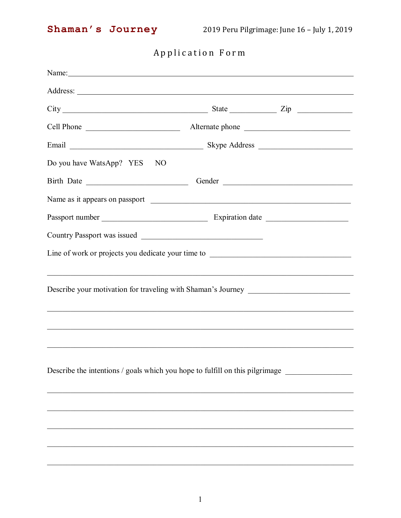## Application Form

| Name: Name and the second contract of the second contract of the second contract of the second contract of the second contract of the second contract of the second contract of the second contract of the second contract of |                                                                                   |  |
|-------------------------------------------------------------------------------------------------------------------------------------------------------------------------------------------------------------------------------|-----------------------------------------------------------------------------------|--|
|                                                                                                                                                                                                                               |                                                                                   |  |
|                                                                                                                                                                                                                               | $City$ $City$ $Zip$                                                               |  |
| Cell Phone                                                                                                                                                                                                                    | Alternate phone                                                                   |  |
|                                                                                                                                                                                                                               | Skype Address                                                                     |  |
| Do you have WatsApp? YES<br>NO                                                                                                                                                                                                |                                                                                   |  |
|                                                                                                                                                                                                                               | Gender                                                                            |  |
|                                                                                                                                                                                                                               |                                                                                   |  |
|                                                                                                                                                                                                                               |                                                                                   |  |
|                                                                                                                                                                                                                               |                                                                                   |  |
|                                                                                                                                                                                                                               | Line of work or projects you dedicate your time to ______________________________ |  |
|                                                                                                                                                                                                                               |                                                                                   |  |
|                                                                                                                                                                                                                               | Describe your motivation for traveling with Shaman's Journey ____________________ |  |
|                                                                                                                                                                                                                               | ,我们也不能在这里的人,我们也不能在这里的人,我们也不能在这里的人,我们也不能在这里的人,我们也不能在这里的人,我们也不能在这里的人,我们也不能在这里的人,我们也 |  |
|                                                                                                                                                                                                                               |                                                                                   |  |
|                                                                                                                                                                                                                               |                                                                                   |  |
|                                                                                                                                                                                                                               |                                                                                   |  |
|                                                                                                                                                                                                                               | Describe the intentions / goals which you hope to fulfill on this pilgrimage      |  |
|                                                                                                                                                                                                                               |                                                                                   |  |
|                                                                                                                                                                                                                               |                                                                                   |  |
|                                                                                                                                                                                                                               |                                                                                   |  |
|                                                                                                                                                                                                                               |                                                                                   |  |
|                                                                                                                                                                                                                               |                                                                                   |  |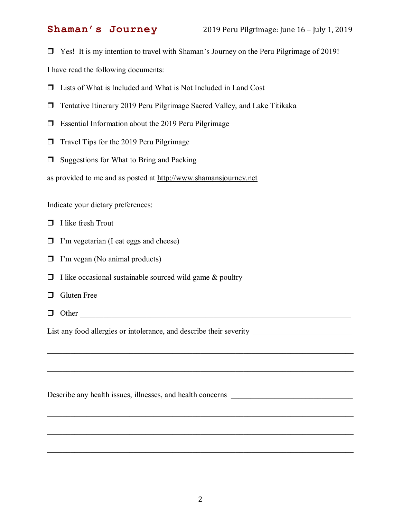□ Yes! It is my intention to travel with Shaman's Journey on the Peru Pilgrimage of 2019!

I have read the following documents:

- $\Box$  Lists of What is Included and What is Not Included in Land Cost
- $\Box$  Tentative Itinerary 2019 Peru Pilgrimage Sacred Valley, and Lake Titikaka
- $\Box$  Essential Information about the 2019 Peru Pilgrimage
- $\Box$  Travel Tips for the 2019 Peru Pilgrimage
- $\Box$  Suggestions for What to Bring and Packing

as provided to me and as posted at [http://www.shamansjourney.net](http://www.shamansjourney.net/)

Indicate your dietary preferences:

- $\Box$  I like fresh Trout
- $\Box$  I'm vegetarian (I eat eggs and cheese)
- $\Box$  I'm vegan (No animal products)
- $\Box$  I like occasional sustainable sourced wild game & poultry
- **O** Gluten Free
- $\Box$  Other  $\Box$

List any food allergies or intolerance, and describe their severity \_\_\_\_\_\_\_\_\_\_\_\_\_\_\_\_\_\_\_\_\_\_\_\_\_

Describe any health issues, illnesses, and health concerns \_\_\_\_\_\_\_\_\_\_\_\_\_\_\_\_\_\_\_\_\_\_

\_\_\_\_\_\_\_\_\_\_\_\_\_\_\_\_\_\_\_\_\_\_\_\_\_\_\_\_\_\_\_\_\_\_\_\_\_\_\_\_\_\_\_\_\_\_\_\_\_\_\_\_\_\_\_\_\_\_\_\_\_\_\_\_\_\_\_\_\_\_\_\_\_\_\_\_\_\_

\_\_\_\_\_\_\_\_\_\_\_\_\_\_\_\_\_\_\_\_\_\_\_\_\_\_\_\_\_\_\_\_\_\_\_\_\_\_\_\_\_\_\_\_\_\_\_\_\_\_\_\_\_\_\_\_\_\_\_\_\_\_\_\_\_\_\_\_\_\_\_\_\_\_\_\_\_\_

\_\_\_\_\_\_\_\_\_\_\_\_\_\_\_\_\_\_\_\_\_\_\_\_\_\_\_\_\_\_\_\_\_\_\_\_\_\_\_\_\_\_\_\_\_\_\_\_\_\_\_\_\_\_\_\_\_\_\_\_\_\_\_\_\_\_\_\_\_\_\_\_\_\_\_\_\_\_

\_\_\_\_\_\_\_\_\_\_\_\_\_\_\_\_\_\_\_\_\_\_\_\_\_\_\_\_\_\_\_\_\_\_\_\_\_\_\_\_\_\_\_\_\_\_\_\_\_\_\_\_\_\_\_\_\_\_\_\_\_\_\_\_\_\_\_\_\_\_\_\_\_\_\_\_\_\_

\_\_\_\_\_\_\_\_\_\_\_\_\_\_\_\_\_\_\_\_\_\_\_\_\_\_\_\_\_\_\_\_\_\_\_\_\_\_\_\_\_\_\_\_\_\_\_\_\_\_\_\_\_\_\_\_\_\_\_\_\_\_\_\_\_\_\_\_\_\_\_\_\_\_\_\_\_\_